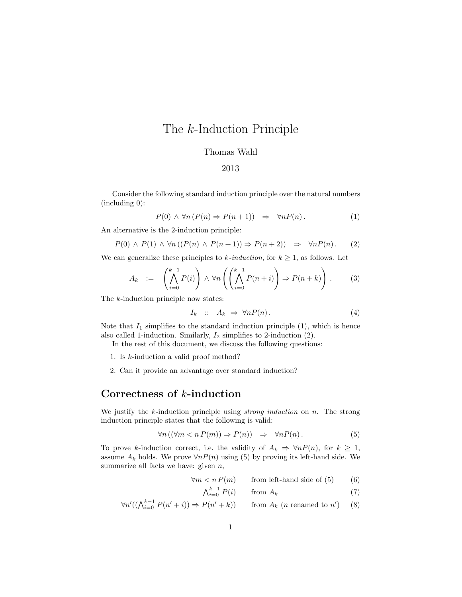# The k-Induction Principle

### Thomas Wahl

#### 2013

Consider the following standard induction principle over the natural numbers (including 0):

$$
P(0) \land \forall n (P(n) \Rightarrow P(n+1)) \Rightarrow \forall n P(n).
$$
 (1)

An alternative is the 2-induction principle:

$$
P(0) \land P(1) \land \forall n ((P(n) \land P(n+1)) \Rightarrow P(n+2)) \Rightarrow \forall n P(n).
$$
 (2)

We can generalize these principles to k-induction, for  $k \geq 1$ , as follows. Let

$$
A_k := \left(\bigwedge_{i=0}^{k-1} P(i)\right) \wedge \forall n \left(\left(\bigwedge_{i=0}^{k-1} P(n+i)\right) \Rightarrow P(n+k)\right). \tag{3}
$$

The *k*-induction principle now states:

$$
I_k :: A_k \Rightarrow \forall n P(n). \tag{4}
$$

Note that  $I_1$  simplifies to the standard induction principle  $(1)$ , which is hence also called 1-induction. Similarly,  $I_2$  simplifies to 2-induction (2).

In the rest of this document, we discuss the following questions:

- 1. Is k-induction a valid proof method?
- 2. Can it provide an advantage over standard induction?

### Correctness of k-induction

We justify the k-induction principle using *strong induction* on  $n$ . The strong induction principle states that the following is valid:

$$
\forall n \left( (\forall m < n \, P(m)) \Rightarrow P(n) \right) \Rightarrow \forall n P(n). \tag{5}
$$

To prove k-induction correct, i.e. the validity of  $A_k \Rightarrow \forall n P(n)$ , for  $k \geq 1$ , assume  $A_k$  holds. We prove  $\forall n P(n)$  using (5) by proving its left-hand side. We summarize all facts we have: given  $n$ ,

$$
\forall m < n \, P(m) \qquad \text{from left-hand side of (5)} \tag{6}
$$

$$
\bigwedge_{i=0}^{k-1} P(i) \qquad \text{from } A_k \tag{7}
$$

$$
\forall n'((\bigwedge_{i=0}^{k-1} P(n'+i)) \Rightarrow P(n'+k)) \qquad \text{from } A_k \ (n \text{ renamed to } n') \tag{8}
$$